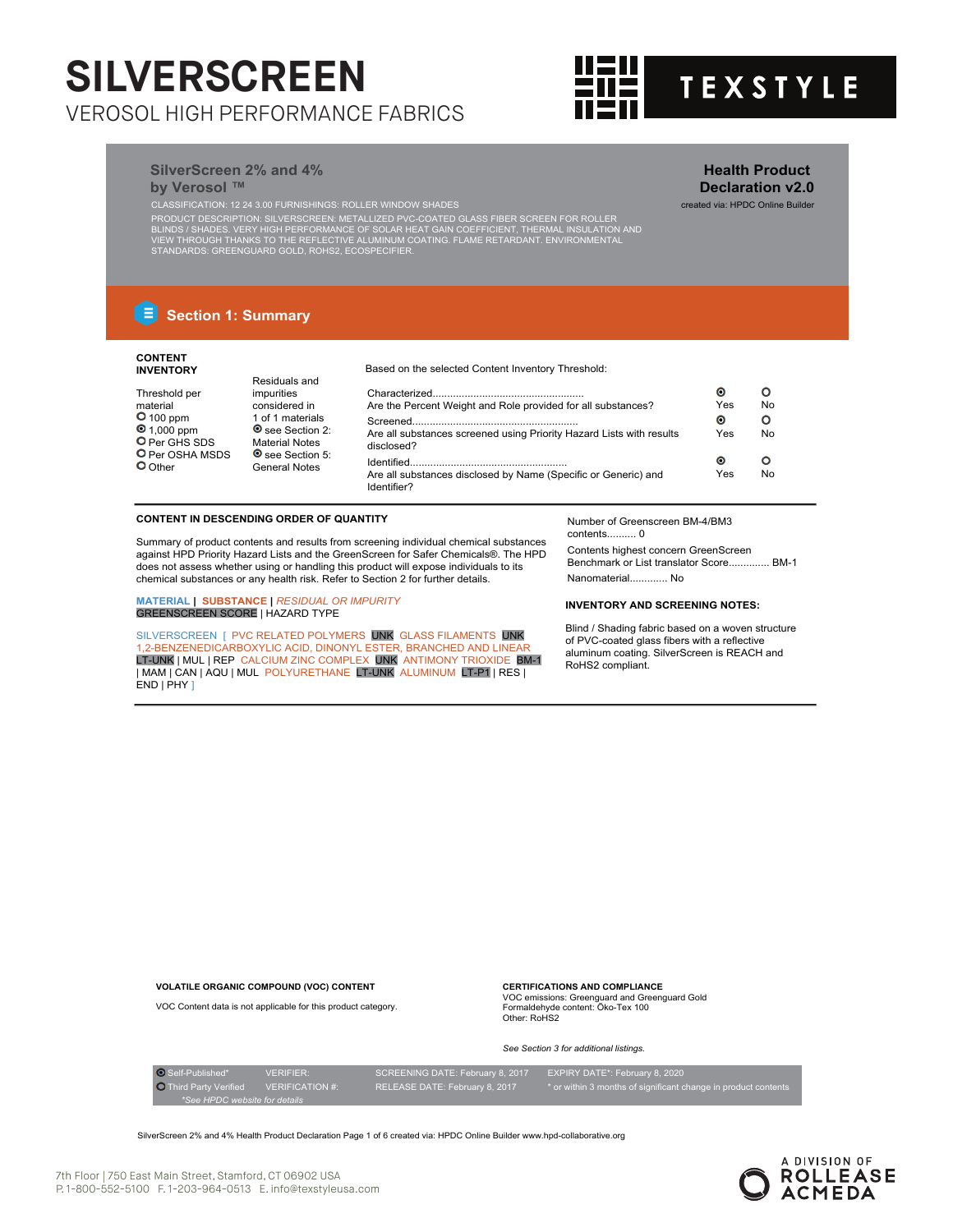

**Health Product Declaration v2.0**

# **SilverScreen 2% and 4% by Verosol** ™

CLASSIFICATION: 12 24 3.00 FURNISHINGS: ROLLER WINDOW SHADES created via: HPDC Online Builder

PRODUCT DESCRIPTION: SILVERSCREEN: METALLIZED PVC-COATED GLASS FIBER SCREEN FOR ROLLER<br>BLINDS / SHADES. VERY HIGH PERFORMANCE OF SOLAR HEAT GAIN COEFFICIENT, THERMAL INSULATION AND<br>VIEW THROUGH THANKS TO THE REFLECTIVE ALL

# **E** Section 1: Summary

# **CONTENT INVENTORY** Threshold per

material<br>**O** 100 ppm 1,000 ppm O Per GHS SDS O Per OSHA MSDS O Other

## Based on the selected Content Inventory Threshold:

| impurities                                      |                                                                               | О   |           |
|-------------------------------------------------|-------------------------------------------------------------------------------|-----|-----------|
| considered in                                   | Are the Percent Weight and Role provided for all substances?                  | Yes | No.       |
| 1 of 1 materials                                |                                                                               | O   |           |
| <b>O</b> see Section 2:                         | Are all substances screened using Priority Hazard Lists with results          | Yes | <b>No</b> |
| <b>Material Notes</b>                           | disclosed?                                                                    |     |           |
| <b>O</b> see Section 5:<br><b>General Notes</b> |                                                                               | О   |           |
|                                                 | Are all substances disclosed by Name (Specific or Generic) and<br>Identifier? | Yes | <b>No</b> |

# **CONTENT IN DESCENDING ORDER OF QUANTITY**

Residuals and

Summary of product contents and results from screening individual chemical substances against HPD Priority Hazard Lists and the GreenScreen for Safer Chemicals®. The HPD does not assess whether using or handling this product will expose individuals to its chemical substances or any health risk. Refer to Section 2 for further details.

**MATERIAL | SUBSTANCE |** *RESIDUAL OR IMPURITY* GREENSCREEN SCORE | HAZARD TYPE

**VOLATILE ORGANIC COMPOUND (VOC) CONTENT**

SILVERSCREEN [ PVC RELATED POLYMERS UNK GLASS FILAMENTS UNK 1,2-BENZENEDICARBOXYLIC ACID, DINONYL ESTER, BRANCHED AND LINEAR<br>LT-UNK | MUL | REP CALCIUM ZINC COMPLEX UNK ANTIMONY TRIOXIDE BM-1 | MAM | CAN | AQU | MUL POLYURETHANE LT-UNK ALUMINUM LT-P1 | RES |  $END | PHY |$ 

Number of Greenscreen BM-4/BM3 contents.......... 0

Contents highest concern GreenScreen Benchmark or List translator Score.............. BM-1 Nanomaterial............. No

# **INVENTORY AND SCREENING NOTES:**

Blind / Shading fabric based on a woven structure of PVC-coated glass fibers with a reflective aluminum coating. SilverScreen is REACH and RoHS2 compliant.

VOC Content data is not applicable for this product category. Other: RoHS2 *See Section 3 for additional listings.*

**CERTIFICATIONS AND COMPLIANCE** VOC emissions: Greenguard and Greenguard Gold Formaldehyde content: Öko-Tex 100

O Self-Published\* VERIFIER: SCREENING DATE: February 8, 2017 EXPIRY DATE\*: February 8, 2020<br>
O Third Party Verified VERIFICATION #: RELEASE DATE: February 8, 2017 \* or within 3 months of significant c *\*See HPDC website for details*

SilverScreen 2% and 4% Health Product Declaration Page 1 of 6 created via: HPDC Online Builder www.hpd-collaborative.org

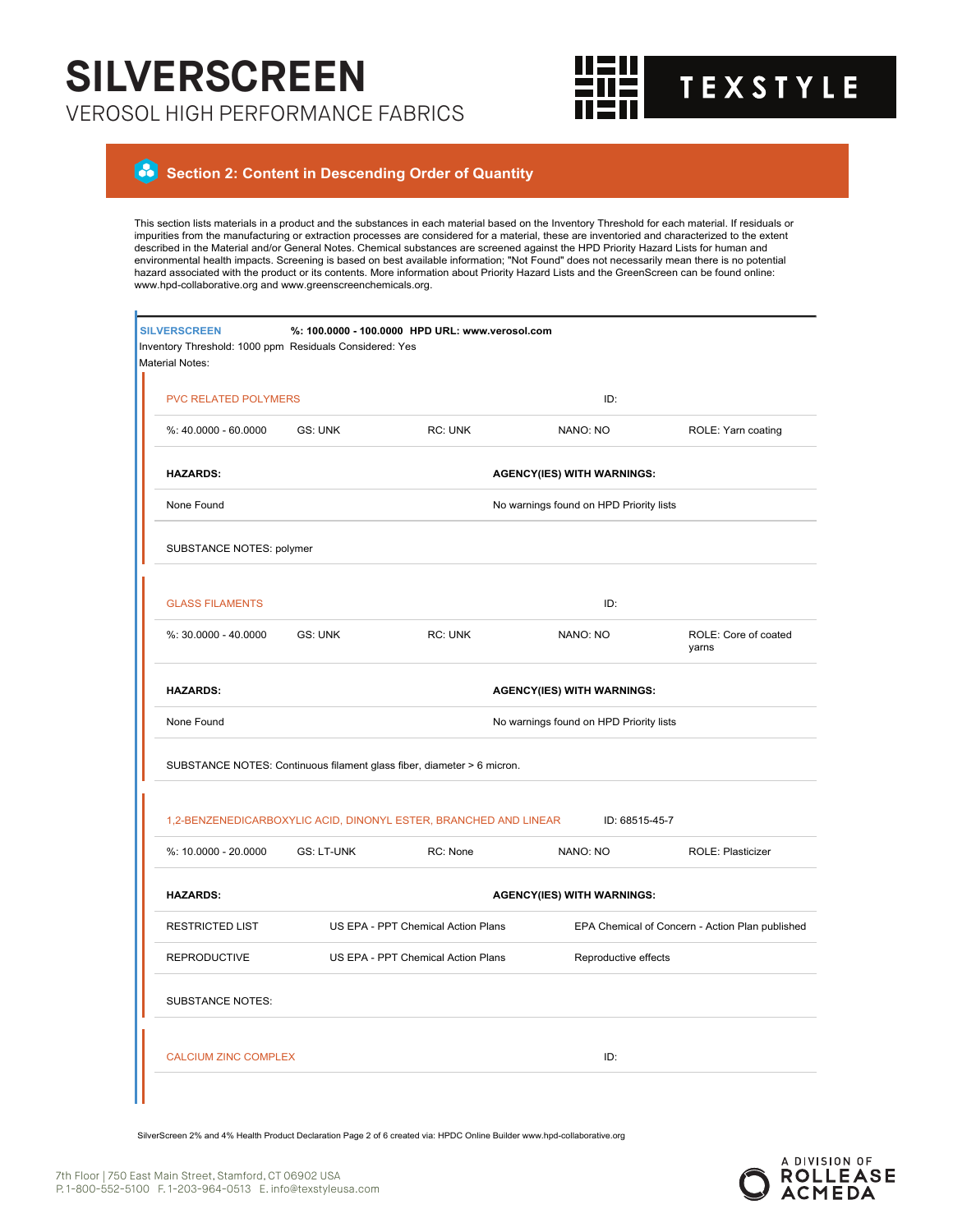

### $\bullet$  **Section 2: Content in Descending Order of Quantity**

This section lists materials in a product and the substances in each material based on the Inventory Threshold for each material. If residuals or impurities from the manufacturing or extraction processes are considered for a material, these are inventoried and characterized to the extent described in the Material and/or General Notes. Chemical substances are screened against the HPD Priority Hazard Lists for human and environmental health impacts. Screening is based on best available information; "Not Found" does not necessarily mean there is no potential<br>hazard associated with the product or its contents. More information about Priorit www.hpd-collaborative.org and www.greenscreenchemicals.org.

| <b>SILVERSCREEN</b><br>Inventory Threshold: 1000 ppm Residuals Considered: Yes<br>Material Notes: |                   | %: 100.0000 - 100.0000 HPD URL: www.verosol.com                        |                                         |                                                 |
|---------------------------------------------------------------------------------------------------|-------------------|------------------------------------------------------------------------|-----------------------------------------|-------------------------------------------------|
| <b>PVC RELATED POLYMERS</b>                                                                       |                   |                                                                        | ID:                                     |                                                 |
| %: 40.0000 - 60.0000                                                                              | <b>GS: UNK</b>    | RC: UNK                                                                | NANO: NO                                | ROLE: Yarn coating                              |
| <b>HAZARDS:</b>                                                                                   |                   |                                                                        | <b>AGENCY(IES) WITH WARNINGS:</b>       |                                                 |
| None Found                                                                                        |                   |                                                                        | No warnings found on HPD Priority lists |                                                 |
| SUBSTANCE NOTES: polymer                                                                          |                   |                                                                        |                                         |                                                 |
| <b>GLASS FILAMENTS</b>                                                                            |                   |                                                                        | ID:                                     |                                                 |
| %: 30.0000 - 40.0000                                                                              | <b>GS: UNK</b>    | RC: UNK                                                                | NANO: NO                                | ROLE: Core of coated<br>yarns                   |
| <b>HAZARDS:</b>                                                                                   |                   |                                                                        | <b>AGENCY(IES) WITH WARNINGS:</b>       |                                                 |
| None Found                                                                                        |                   |                                                                        | No warnings found on HPD Priority lists |                                                 |
|                                                                                                   |                   | SUBSTANCE NOTES: Continuous filament glass fiber, diameter > 6 micron. |                                         |                                                 |
|                                                                                                   |                   | 1,2-BENZENEDICARBOXYLIC ACID, DINONYL ESTER, BRANCHED AND LINEAR       | ID: 68515-45-7                          |                                                 |
| %: 10.0000 - 20.0000                                                                              | <b>GS: LT-UNK</b> | RC: None                                                               | NANO: NO                                | ROLE: Plasticizer                               |
| <b>HAZARDS:</b>                                                                                   |                   |                                                                        | <b>AGENCY(IES) WITH WARNINGS:</b>       |                                                 |
| <b>RESTRICTED LIST</b>                                                                            |                   | US EPA - PPT Chemical Action Plans                                     |                                         | EPA Chemical of Concern - Action Plan published |
| <b>REPRODUCTIVE</b>                                                                               |                   | US EPA - PPT Chemical Action Plans                                     | Reproductive effects                    |                                                 |
| <b>SUBSTANCE NOTES:</b>                                                                           |                   |                                                                        |                                         |                                                 |
|                                                                                                   |                   |                                                                        |                                         |                                                 |

SilverScreen 2% and 4% Health Product Declaration Page 2 of 6 created via: HPDC Online Builder www.hpd-collaborative.org

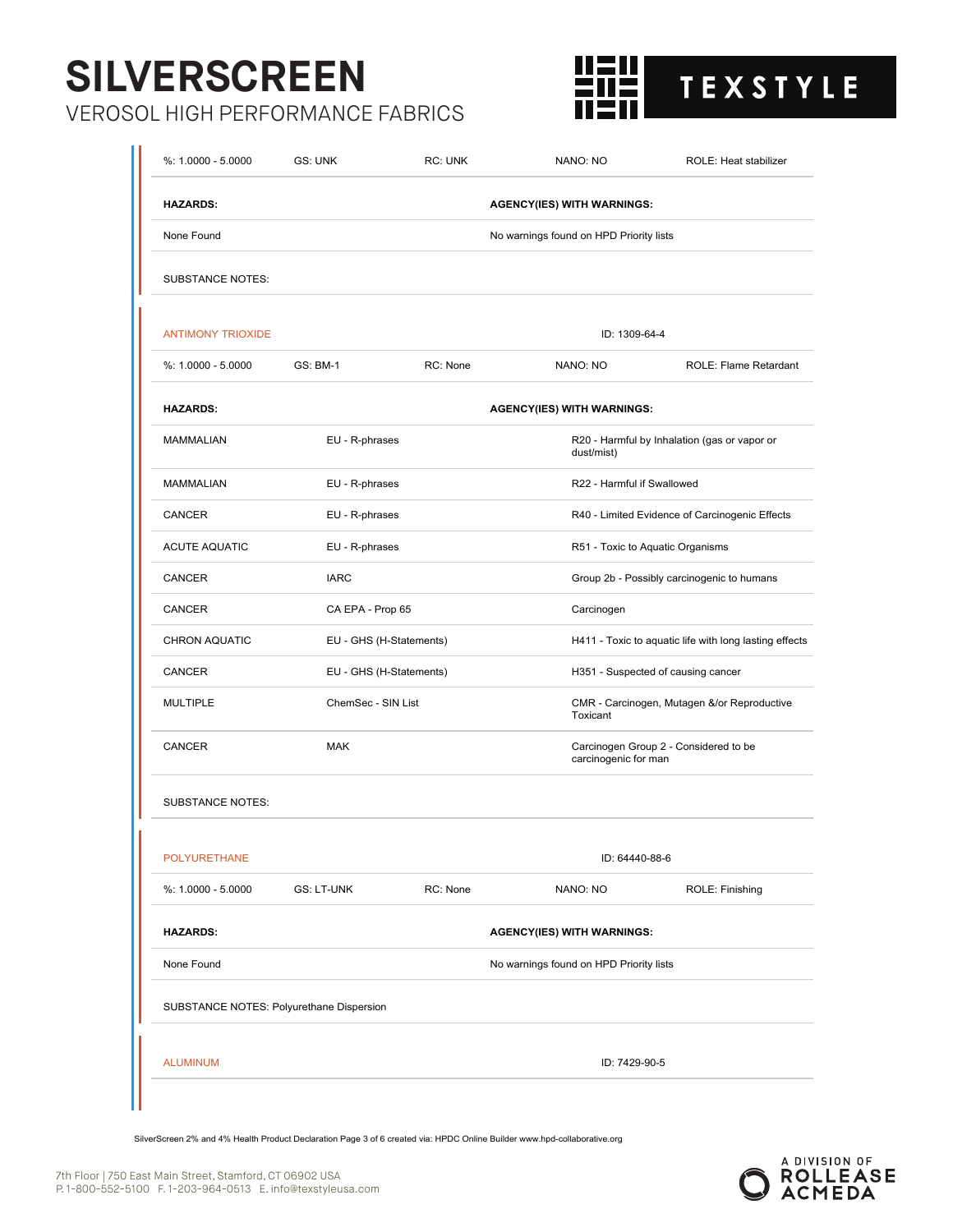# **SILVERSCREEN**

VEROSOL HIGH PERFORMANCE FABRICS



| $%: 1.0000 - 5.0000$                     | GS: UNK                                                                           | RC: UNK  | NANO: NO                                | ROLE: Heat stabilizer                          |
|------------------------------------------|-----------------------------------------------------------------------------------|----------|-----------------------------------------|------------------------------------------------|
| <b>HAZARDS:</b>                          |                                                                                   |          | <b>AGENCY(IES) WITH WARNINGS:</b>       |                                                |
| None Found                               |                                                                                   |          | No warnings found on HPD Priority lists |                                                |
| <b>SUBSTANCE NOTES:</b>                  |                                                                                   |          |                                         |                                                |
| <b>ANTIMONY TRIOXIDE</b>                 |                                                                                   |          | ID: 1309-64-4                           |                                                |
| $%: 1.0000 - 5.0000$                     | <b>GS: BM-1</b>                                                                   | RC: None | NANO: NO                                | ROLE: Flame Retardant                          |
| <b>HAZARDS:</b>                          |                                                                                   |          | <b>AGENCY(IES) WITH WARNINGS:</b>       |                                                |
| <b>MAMMALIAN</b>                         | EU - R-phrases                                                                    |          | dust/mist)                              | R20 - Harmful by Inhalation (gas or vapor or   |
| <b>MAMMALIAN</b>                         | EU - R-phrases                                                                    |          | R22 - Harmful if Swallowed              |                                                |
| CANCER                                   | EU - R-phrases                                                                    |          |                                         | R40 - Limited Evidence of Carcinogenic Effects |
| <b>ACUTE AQUATIC</b>                     | EU - R-phrases<br>R51 - Toxic to Aquatic Organisms                                |          |                                         |                                                |
| CANCER                                   | <b>IARC</b>                                                                       |          |                                         | Group 2b - Possibly carcinogenic to humans     |
| CANCER                                   | CA EPA - Prop 65                                                                  |          | Carcinogen                              |                                                |
| <b>CHRON AQUATIC</b>                     | H411 - Toxic to aquatic life with long lasting effects<br>EU - GHS (H-Statements) |          |                                         |                                                |
| <b>CANCER</b>                            | EU - GHS (H-Statements)<br>H351 - Suspected of causing cancer                     |          |                                         |                                                |
| <b>MULTIPLE</b>                          | ChemSec - SIN List                                                                |          | Toxicant                                | CMR - Carcinogen, Mutagen &/or Reproductive    |
| <b>CANCER</b>                            | <b>MAK</b><br>Carcinogen Group 2 - Considered to be<br>carcinogenic for man       |          |                                         |                                                |
| <b>SUBSTANCE NOTES:</b>                  |                                                                                   |          |                                         |                                                |
| <b>POLYURETHANE</b>                      |                                                                                   |          | ID: 64440-88-6                          |                                                |
| $%: 1.0000 - 5.0000$                     | <b>GS: LT-UNK</b>                                                                 | RC: None | NANO: NO                                | ROLE: Finishing                                |
| <b>HAZARDS:</b>                          |                                                                                   |          | <b>AGENCY(IES) WITH WARNINGS:</b>       |                                                |
| None Found                               |                                                                                   |          | No warnings found on HPD Priority lists |                                                |
| SUBSTANCE NOTES: Polyurethane Dispersion |                                                                                   |          |                                         |                                                |
| <b>ALUMINUM</b>                          |                                                                                   |          | ID: 7429-90-5                           |                                                |

SilverScreen 2% and 4% Health Product Declaration Page 3 of 6 created via: HPDC Online Builder www.hpd-collaborative.org

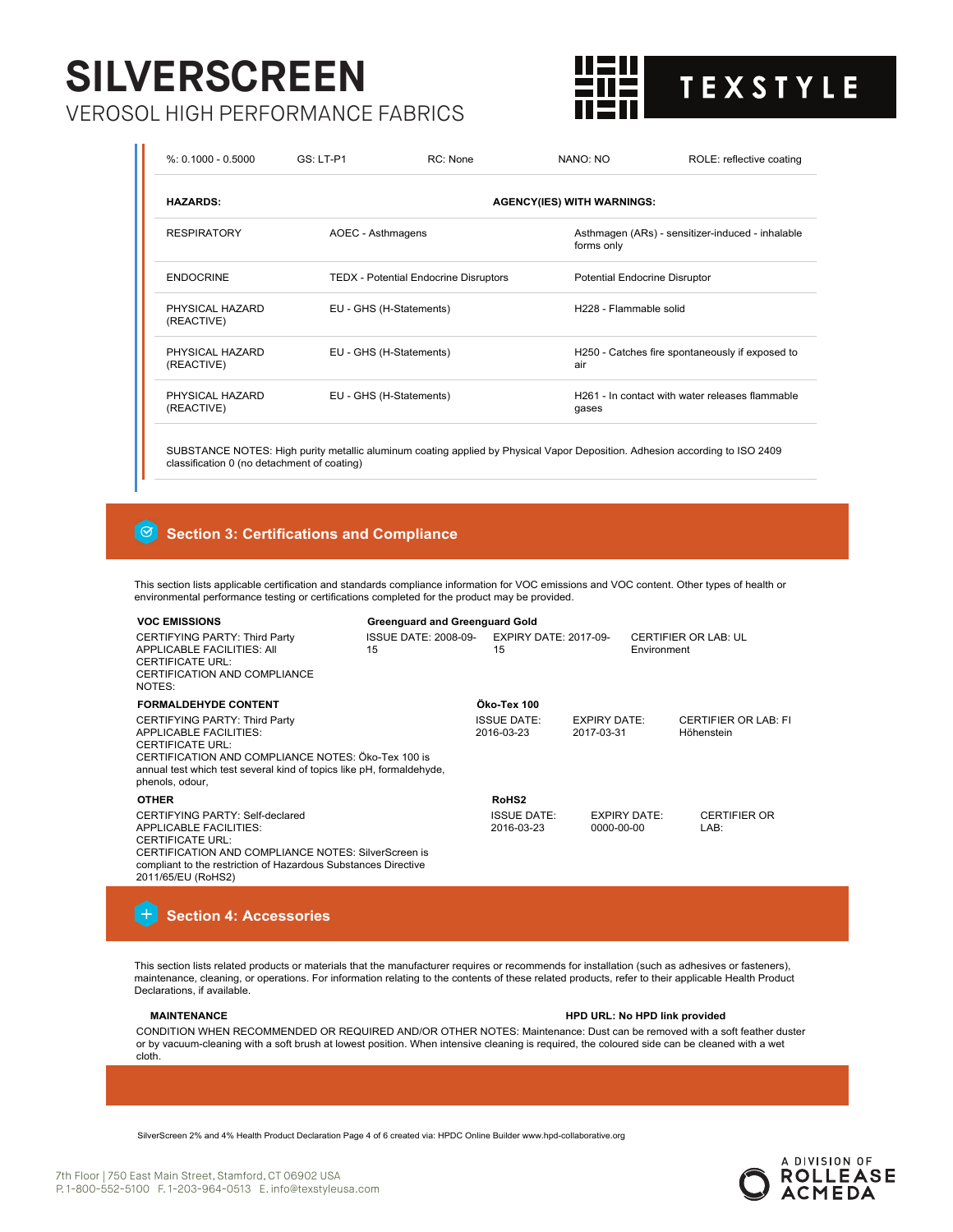# **SILVERSCREEN**

VEROSOL HIGH PERFORMANCE FABRICS



| $%: 0.1000 - 0.5000$          | $GS: LT- P1$                                 | RC: None | NANO: NO                          | ROLE: reflective coating                                    |  |  |
|-------------------------------|----------------------------------------------|----------|-----------------------------------|-------------------------------------------------------------|--|--|
| <b>HAZARDS:</b>               |                                              |          | <b>AGENCY(IES) WITH WARNINGS:</b> |                                                             |  |  |
| <b>RESPIRATORY</b>            | AOEC - Asthmagens                            |          | forms only                        | Asthmagen (ARs) - sensitizer-induced - inhalable            |  |  |
| <b>ENDOCRINE</b>              | <b>TEDX</b> - Potential Endocrine Disruptors |          |                                   | <b>Potential Endocrine Disruptor</b>                        |  |  |
| PHYSICAL HAZARD<br>(REACTIVE) | EU - GHS (H-Statements)                      |          |                                   | H228 - Flammable solid                                      |  |  |
| PHYSICAL HAZARD<br>(REACTIVE) | EU - GHS (H-Statements)                      |          | air                               | H250 - Catches fire spontaneously if exposed to             |  |  |
| PHYSICAL HAZARD<br>(REACTIVE) | EU - GHS (H-Statements)                      |          | gases                             | H <sub>261</sub> - In contact with water releases flammable |  |  |

SUBSTANCE NOTES: High purity metallic aluminum coating applied by Physical Vapor Deposition. Adhesion according to ISO 2409 classification 0 (no detachment of coating)

#### $\lceil \Theta \rceil$  **Section 3: Certifications and Compliance**

This section lists applicable certification and standards compliance information for VOC emissions and VOC content. Other types of health or environmental performance testing or certifications completed for the product may be provided.

| <b>Greenguard and Greenguard Gold</b><br><b>VOC EMISSIONS</b>                                                                                                                                                                              |                                                  |                                  |                                   |                     |                                           |
|--------------------------------------------------------------------------------------------------------------------------------------------------------------------------------------------------------------------------------------------|--------------------------------------------------|----------------------------------|-----------------------------------|---------------------|-------------------------------------------|
| CERTIFYING PARTY: Third Party<br>APPLICABLE FACILITIES: AII<br><b>CERTIFICATE URL:</b><br>CERTIFICATION AND COMPLIANCE<br>NOTES:                                                                                                           | ISSUE DATE: 2008-09- EXPIRY DATE: 2017-09-<br>15 | 15                               |                                   | Environment         | <b>CERTIFIER OR LAB: UL</b>               |
| <b>FORMALDEHYDE CONTENT</b>                                                                                                                                                                                                                |                                                  | Öko-Tex 100                      |                                   |                     |                                           |
| CERTIFYING PARTY: Third Party<br><b>APPLICABLE FACILITIES:</b><br><b>CERTIFICATE URL:</b><br>CERTIFICATION AND COMPLIANCE NOTES: Öko-Tex 100 is<br>annual test which test several kind of topics like pH, formaldehyde,<br>phenols, odour, |                                                  | <b>ISSUE DATE:</b><br>2016-03-23 | <b>EXPIRY DATE:</b><br>2017-03-31 |                     | <b>CERTIFIER OR LAB: FI</b><br>Höhenstein |
| <b>OTHER</b>                                                                                                                                                                                                                               |                                                  | RoHS <sub>2</sub>                |                                   |                     |                                           |
| CERTIFYING PARTY: Self-declared<br><b>APPLICABLE FACILITIES:</b><br><b>CERTIFICATE URL:</b><br>CERTIFICATION AND COMPLIANCE NOTES: SilverScreen is<br>compliant to the restriction of Hazardous Substances Directive<br>2011/65/EU (RoHS2) |                                                  | <b>ISSUE DATE:</b><br>2016-03-23 | 0000-00-00                        | <b>EXPIRY DATE:</b> | <b>CERTIFIER OR</b><br>LAB:               |

# **Section 4: Accessories**

This section lists related products or materials that the manufacturer requires or recommends for installation (such as adhesives or fasteners), maintenance, cleaning, or operations. For information relating to the contents of these related products, refer to their applicable Health Product Declarations, if available.

## **MAINTENANCE HPD URL: No HPD link provided**

CONDITION WHEN RECOMMENDED OR REQUIRED AND/OR OTHER NOTES: Maintenance: Dust can be removed with a soft feather duster or by vacuum-cleaning with a soft brush at lowest position. When intensive cleaning is required, the coloured side can be cleaned with a wet cloth.

SilverScreen 2% and 4% Health Product Declaration Page 4 of 6 created via: HPDC Online Builder www.hpd-collaborative.org

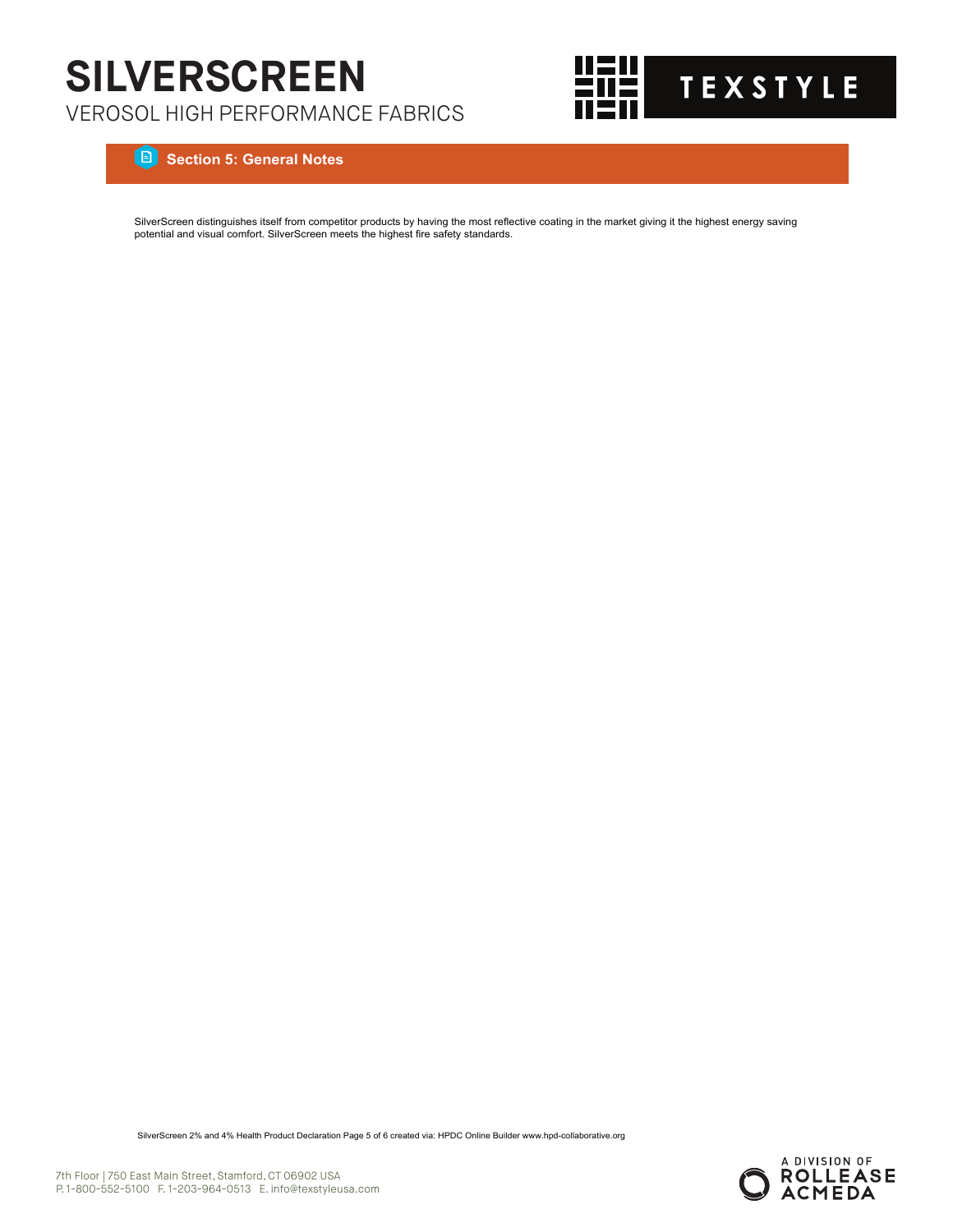

 **Section 5: General Notes**

SilverScreen distinguishes itself from competitor products by having the most reflective coating in the market giving it the highest energy saving potential and visual comfort. SilverScreen meets the highest fire safety standards.

SilverScreen 2% and 4% Health Product Declaration Page 5 of 6 created via: HPDC Online Builder www.hpd-collaborative.org